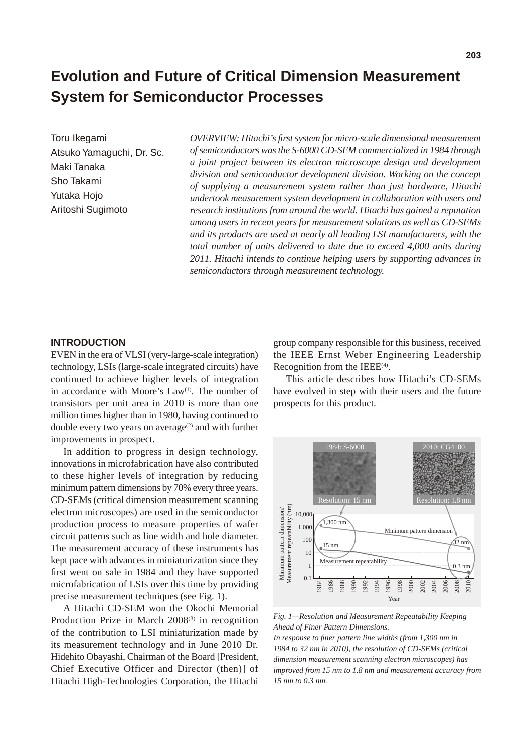# **Evolution and Future of Critical Dimension Measurement System for Semiconductor Processes**

Toru Ikegami Atsuko Yamaguchi, Dr. Sc. Maki Tanaka Sho Takami Yutaka Hojo Aritoshi Sugimoto

*OVERVIEW: Hitachi's first system for micro-scale dimensional measurement of semiconductors was the S-6000 CD-SEM commercialized in 1984 through a joint project between its electron microscope design and development division and semiconductor development division. Working on the concept of supplying a measurement system rather than just hardware, Hitachi undertook measurement system development in collaboration with users and research institutions from around the world. Hitachi has gained a reputation among users in recent years for measurement solutions as well as CD-SEMs and its products are used at nearly all leading LSI manufacturers, with the total number of units delivered to date due to exceed 4,000 units during 2011. Hitachi intends to continue helping users by supporting advances in semiconductors through measurement technology.*

# **INTRODUCTION**

EVEN in the era of VLSI (very-large-scale integration) technology, LSIs (large-scale integrated circuits) have continued to achieve higher levels of integration in accordance with Moore's  $Law<sup>(1)</sup>$ . The number of transistors per unit area in 2010 is more than one million times higher than in 1980, having continued to double every two years on average<sup> $(2)$ </sup> and with further improvements in prospect.

In addition to progress in design technology, innovations in microfabrication have also contributed to these higher levels of integration by reducing minimum pattern dimensions by 70% every three years. CD-SEMs (critical dimension measurement scanning electron microscopes) are used in the semiconductor production process to measure properties of wafer circuit patterns such as line width and hole diameter. The measurement accuracy of these instruments has kept pace with advances in miniaturization since they first went on sale in 1984 and they have supported microfabrication of LSIs over this time by providing precise measurement techniques (see Fig. 1).

A Hitachi CD-SEM won the Okochi Memorial Production Prize in March  $2008^{(3)}$  in recognition of the contribution to LSI miniaturization made by its measurement technology and in June 2010 Dr. Hidehito Obayashi, Chairman of the Board [President, Chief Executive Officer and Director (then)] of Hitachi High-Technologies Corporation, the Hitachi

group company responsible for this business, received the IEEE Ernst Weber Engineering Leadership Recognition from the IEEE<sup>(4)</sup>.

This article describes how Hitachi's CD-SEMs have evolved in step with their users and the future prospects for this product.



*Fig. 1—Resolution and Measurement Repeatability Keeping Ahead of Finer Pattern Dimensions.*

*In response to finer pattern line widths (from 1,300 nm in 1984 to 32 nm in 2010), the resolution of CD-SEMs (critical dimension measurement scanning electron microscopes) has improved from 15 nm to 1.8 nm and measurement accuracy from 15 nm to 0.3 nm.*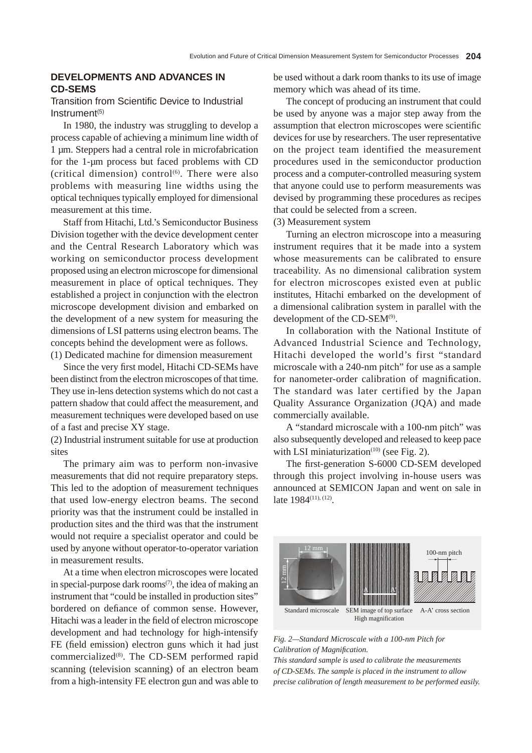# **DEVELOPMENTS AND ADVANCES IN CD‑SEMS**

# Transition from Scientific Device to Industrial Instrument<sup>(5)</sup>

In 1980, the industry was struggling to develop a process capable of achieving a minimum line width of 1 µm. Steppers had a central role in microfabrication for the 1-µm process but faced problems with CD (critical dimension) control $(6)$ . There were also problems with measuring line widths using the optical techniques typically employed for dimensional measurement at this time.

Staff from Hitachi, Ltd.'s Semiconductor Business Division together with the device development center and the Central Research Laboratory which was working on semiconductor process development proposed using an electron microscope for dimensional measurement in place of optical techniques. They established a project in conjunction with the electron microscope development division and embarked on the development of a new system for measuring the dimensions of LSI patterns using electron beams. The concepts behind the development were as follows. (1) Dedicated machine for dimension measurement

Since the very first model, Hitachi CD-SEMs have been distinct from the electron microscopes of that time. They use in-lens detection systems which do not cast a pattern shadow that could affect the measurement, and measurement techniques were developed based on use of a fast and precise XY stage.

(2) Industrial instrument suitable for use at production sites

The primary aim was to perform non-invasive measurements that did not require preparatory steps. This led to the adoption of measurement techniques that used low-energy electron beams. The second priority was that the instrument could be installed in production sites and the third was that the instrument would not require a specialist operator and could be used by anyone without operator-to-operator variation in measurement results.

At a time when electron microscopes were located in special-purpose dark rooms<sup> $(7)$ </sup>, the idea of making an instrument that "could be installed in production sites" bordered on defiance of common sense. However, Hitachi was a leader in the field of electron microscope development and had technology for high-intensify FE (field emission) electron guns which it had just commercialized<sup>(8)</sup>. The CD-SEM performed rapid scanning (television scanning) of an electron beam from a high-intensity FE electron gun and was able to

be used without a dark room thanks to its use of image memory which was ahead of its time.

The concept of producing an instrument that could be used by anyone was a major step away from the assumption that electron microscopes were scientific devices for use by researchers. The user representative on the project team identified the measurement procedures used in the semiconductor production process and a computer-controlled measuring system that anyone could use to perform measurements was devised by programming these procedures as recipes that could be selected from a screen.

(3) Measurement system

Turning an electron microscope into a measuring instrument requires that it be made into a system whose measurements can be calibrated to ensure traceability. As no dimensional calibration system for electron microscopes existed even at public institutes, Hitachi embarked on the development of a dimensional calibration system in parallel with the development of the CD-SEM<sup>(9)</sup>.

In collaboration with the National Institute of Advanced Industrial Science and Technology, Hitachi developed the world's first "standard microscale with a 240-nm pitch" for use as a sample for nanometer-order calibration of magnification. The standard was later certified by the Japan Quality Assurance Organization (JQA) and made commercially available.

A "standard microscale with a 100-nm pitch" was also subsequently developed and released to keep pace with LSI miniaturization $(10)$  (see Fig. 2).

The first-generation S-6000 CD-SEM developed through this project involving in-house users was announced at SEMICON Japan and went on sale in late 1984<sup>(11), (12)</sup>.



*Fig. 2—Standard Microscale with a 100-nm Pitch for Calibration of Magnification.*

*This standard sample is used to calibrate the measurements of CD-SEMs. The sample is placed in the instrument to allow precise calibration of length measurement to be performed easily.*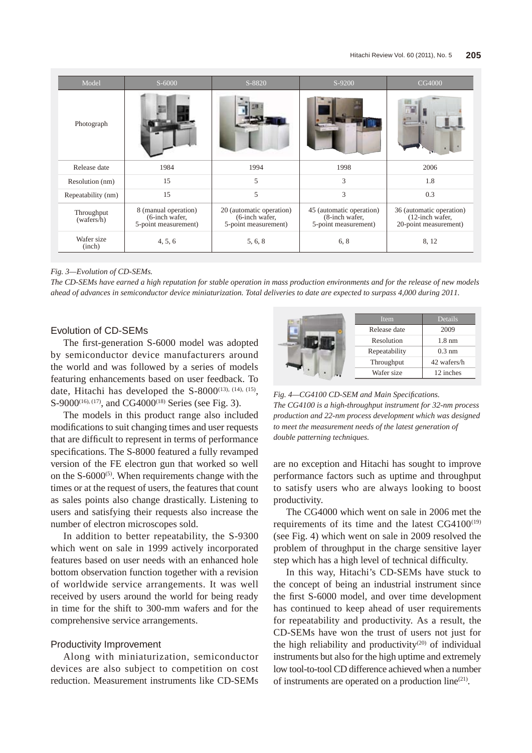| Model                    | $S-6000$                                                          | S-8820                                                             | S-9200                                                             | CG4000                                                                  |
|--------------------------|-------------------------------------------------------------------|--------------------------------------------------------------------|--------------------------------------------------------------------|-------------------------------------------------------------------------|
| Photograph               |                                                                   |                                                                    |                                                                    |                                                                         |
| Release date             | 1984                                                              | 1994                                                               | 1998                                                               | 2006                                                                    |
| Resolution (nm)          | 15                                                                | 5                                                                  | 3                                                                  | 1.8                                                                     |
| Repeatability (nm)       | 15                                                                | 5                                                                  | 3                                                                  | 0.3                                                                     |
| Throughput<br>(wafers/h) | 8 (manual operation)<br>$(6$ -inch wafer,<br>5-point measurement) | 20 (automatic operation)<br>(6-inch wafer,<br>5-point measurement) | 45 (automatic operation)<br>(8-inch wafer,<br>5-point measurement) | 36 (automatic operation)<br>$(12$ -inch wafer,<br>20-point measurement) |
| Wafer size<br>(inch)     | 4, 5, 6                                                           | 5, 6, 8                                                            | 6, 8                                                               | 8, 12                                                                   |

#### *Fig. 3—Evolution of CD-SEMs.*

*The CD-SEMs have earned a high reputation for stable operation in mass production environments and for the release of new models ahead of advances in semiconductor device miniaturization. Total deliveries to date are expected to surpass 4,000 during 2011.*

# Evolution of CD-SEMs

The first-generation S-6000 model was adopted by semiconductor device manufacturers around the world and was followed by a series of models featuring enhancements based on user feedback. To date, Hitachi has developed the  $S-8000^{(13), (14), (15)}$ , S-9000<sup>(16), (17)</sup>, and CG4000<sup>(18)</sup> Series (see Fig. 3).

The models in this product range also included modifications to suit changing times and user requests that are difficult to represent in terms of performance specifications. The S-8000 featured a fully revamped version of the FE electron gun that worked so well on the  $S-6000^{(5)}$ . When requirements change with the times or at the request of users, the features that count as sales points also change drastically. Listening to users and satisfying their requests also increase the number of electron microscopes sold.

In addition to better repeatability, the S-9300 which went on sale in 1999 actively incorporated features based on user needs with an enhanced hole bottom observation function together with a revision of worldwide service arrangements. It was well received by users around the world for being ready in time for the shift to 300-mm wafers and for the comprehensive service arrangements.

## Productivity Improvement

Along with miniaturization, semiconductor devices are also subject to competition on cost reduction. Measurement instruments like CD-SEMs



*Fig. 4—CG4100 CD-SEM and Main Specifications. The CG4100 is a high-throughput instrument for 32-nm process production and 22-nm process development which was designed to meet the measurement needs of the latest generation of double patterning techniques.*

are no exception and Hitachi has sought to improve performance factors such as uptime and throughput to satisfy users who are always looking to boost productivity.

The CG4000 which went on sale in 2006 met the requirements of its time and the latest  $CG4100^{(19)}$ (see Fig. 4) which went on sale in 2009 resolved the problem of throughput in the charge sensitive layer step which has a high level of technical difficulty.

In this way, Hitachi's CD-SEMs have stuck to the concept of being an industrial instrument since the first S-6000 model, and over time development has continued to keep ahead of user requirements for repeatability and productivity. As a result, the CD-SEMs have won the trust of users not just for the high reliability and productivity<sup>(20)</sup> of individual instruments but also for the high uptime and extremely low tool-to-tool CD difference achieved when a number of instruments are operated on a production line<sup>(21)</sup>.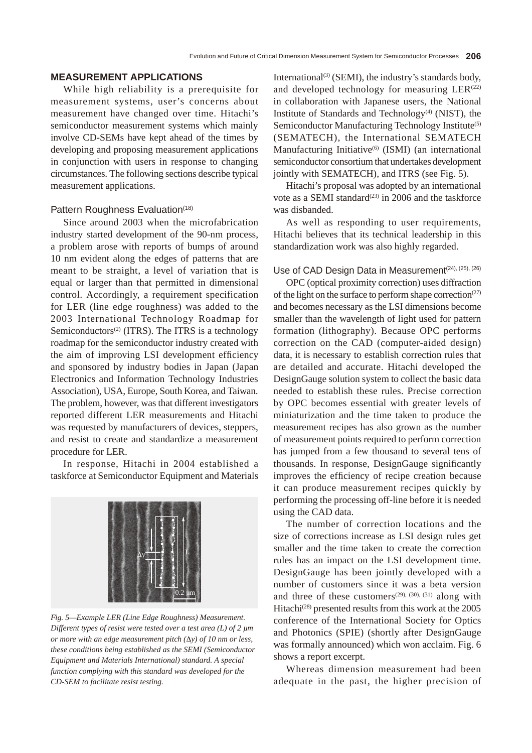### **MEASUREMENT APPLICATIONS**

While high reliability is a prerequisite for measurement systems, user's concerns about measurement have changed over time. Hitachi's semiconductor measurement systems which mainly involve CD-SEMs have kept ahead of the times by developing and proposing measurement applications in conjunction with users in response to changing circumstances. The following sections describe typical measurement applications.

## Pattern Roughness Evaluation(18)

Since around 2003 when the microfabrication industry started development of the 90-nm process, a problem arose with reports of bumps of around 10 nm evident along the edges of patterns that are meant to be straight, a level of variation that is equal or larger than that permitted in dimensional control. Accordingly, a requirement specification for LER (line edge roughness) was added to the 2003 International Technology Roadmap for Semiconductors<sup>(2)</sup> (ITRS). The ITRS is a technology roadmap for the semiconductor industry created with the aim of improving LSI development efficiency and sponsored by industry bodies in Japan (Japan Electronics and Information Technology Industries Association), USA, Europe, South Korea, and Taiwan. The problem, however, was that different investigators reported different LER measurements and Hitachi was requested by manufacturers of devices, steppers, and resist to create and standardize a measurement procedure for LER.

In response, Hitachi in 2004 established a taskforce at Semiconductor Equipment and Materials



*Fig. 5—Example LER (Line Edge Roughness) Measurement. Different types of resist were tested over a test area (L) of 2 µm or more with an edge measurement pitch (*∆*y) of 10 nm or less, these conditions being established as the SEMI (Semiconductor Equipment and Materials International) standard. A special function complying with this standard was developed for the CD-SEM to facilitate resist testing.*

International<sup>(3)</sup> (SEMI), the industry's standards body, and developed technology for measuring  $LER^{(22)}$ in collaboration with Japanese users, the National Institute of Standards and Technology<sup>(4)</sup> (NIST), the Semiconductor Manufacturing Technology Institute<sup>(5)</sup> (SEMATECH), the International SEMATECH Manufacturing Initiative<sup>(6)</sup> (ISMI) (an international semiconductor consortium that undertakes development jointly with SEMATECH), and ITRS (see Fig. 5).

Hitachi's proposal was adopted by an international vote as a SEMI standard<sup> $(23)$ </sup> in 2006 and the taskforce was disbanded.

As well as responding to user requirements, Hitachi believes that its technical leadership in this standardization work was also highly regarded.

# Use of CAD Design Data in Measurement<sup>(24), (25), (26)</sup>

OPC (optical proximity correction) uses diffraction of the light on the surface to perform shape correction<sup>(27)</sup> and becomes necessary as the LSI dimensions become smaller than the wavelength of light used for pattern formation (lithography). Because OPC performs correction on the CAD (computer-aided design) data, it is necessary to establish correction rules that are detailed and accurate. Hitachi developed the DesignGauge solution system to collect the basic data needed to establish these rules. Precise correction by OPC becomes essential with greater levels of miniaturization and the time taken to produce the measurement recipes has also grown as the number of measurement points required to perform correction has jumped from a few thousand to several tens of thousands. In response, DesignGauge significantly improves the efficiency of recipe creation because it can produce measurement recipes quickly by performing the processing off-line before it is needed using the CAD data.

The number of correction locations and the size of corrections increase as LSI design rules get smaller and the time taken to create the correction rules has an impact on the LSI development time. DesignGauge has been jointly developed with a number of customers since it was a beta version and three of these customers<sup>(29), (30), (31)</sup> along with Hitachi<sup>(28)</sup> presented results from this work at the 2005 conference of the International Society for Optics and Photonics (SPIE) (shortly after DesignGauge was formally announced) which won acclaim. Fig. 6 shows a report excerpt.

Whereas dimension measurement had been adequate in the past, the higher precision of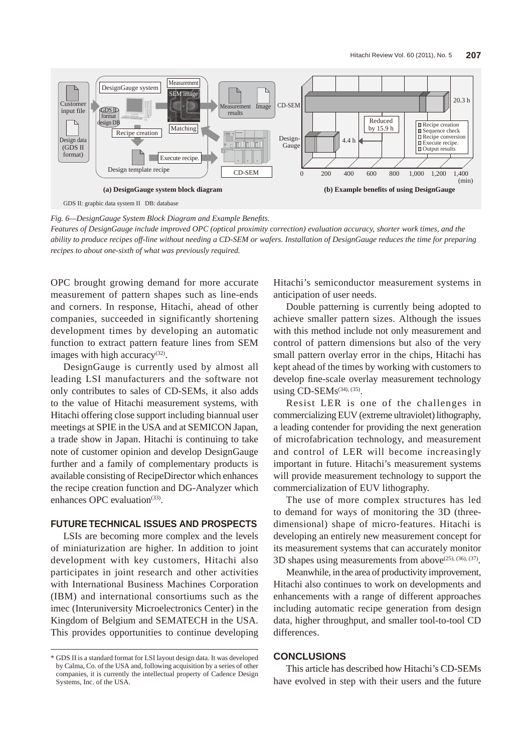

*Fig. 6—DesignGauge System Block Diagram and Example Benefits.*

*Features of DesignGauge include improved OPC (optical proximity correction) evaluation accuracy, shorter work times, and the ability to produce recipes off-line without needing a CD-SEM or wafers. Installation of DesignGauge reduces the time for preparing recipes to about one-sixth of what was previously required.*

OPC brought growing demand for more accurate measurement of pattern shapes such as line-ends and corners. In response, Hitachi, ahead of other companies, succeeded in significantly shortening development times by developing an automatic function to extract pattern feature lines from SEM images with high accuracy<sup>(32)</sup>.

DesignGauge is currently used by almost all leading LSI manufacturers and the software not only contributes to sales of CD-SEMs, it also adds to the value of Hitachi measurement systems, with Hitachi offering close support including biannual user meetings at SPIE in the USA and at SEMICON Japan, a trade show in Japan. Hitachi is continuing to take note of customer opinion and develop DesignGauge further and a family of complementary products is available consisting of RecipeDirector which enhances the recipe creation function and DG-Analyzer which enhances OPC evaluation $(33)$ .

# **FUTURE TECHNICAL ISSUES AND PROSPECTS**

LSIs are becoming more complex and the levels of miniaturization are higher. In addition to joint development with key customers, Hitachi also participates in joint research and other activities with International Business Machines Corporation (IBM) and international consortiums such as the imec (Interuniversity Microelectronics Center) in the Kingdom of Belgium and SEMATECH in the USA. This provides opportunities to continue developing Hitachi's semiconductor measurement systems in anticipation of user needs.

Double patterning is currently being adopted to achieve smaller pattern sizes. Although the issues with this method include not only measurement and control of pattern dimensions but also of the very small pattern overlay error in the chips, Hitachi has kept ahead of the times by working with customers to develop fine-scale overlay measurement technology using  $CD$ -SEMs<sup>(34), (35)</sup>.

Resist LER is one of the challenges in commercializing EUV (extreme ultraviolet) lithography, a leading contender for providing the next generation of microfabrication technology, and measurement and control of LER will become increasingly important in future. Hitachi's measurement systems will provide measurement technology to support the commercialization of EUV lithography.

The use of more complex structures has led to demand for ways of monitoring the 3D (threedimensional) shape of micro-features. Hitachi is developing an entirely new measurement concept for its measurement systems that can accurately monitor 3D shapes using measurements from above<sup>(25), (36), (37)</sup>.

Meanwhile, in the area of productivity improvement, Hitachi also continues to work on developments and enhancements with a range of different approaches including automatic recipe generation from design data, higher throughput, and smaller tool-to-tool CD differences.

## **CONCLUSIONS**

This article has described how Hitachi's CD-SEMs have evolved in step with their users and the future

<sup>\*</sup> GDS II is a standard format for LSI layout design data. It was developed by Calma, Co. of the USA and, following acquisition by a series of other companies, it is currently the intellectual property of Cadence Design Systems, Inc. of the USA.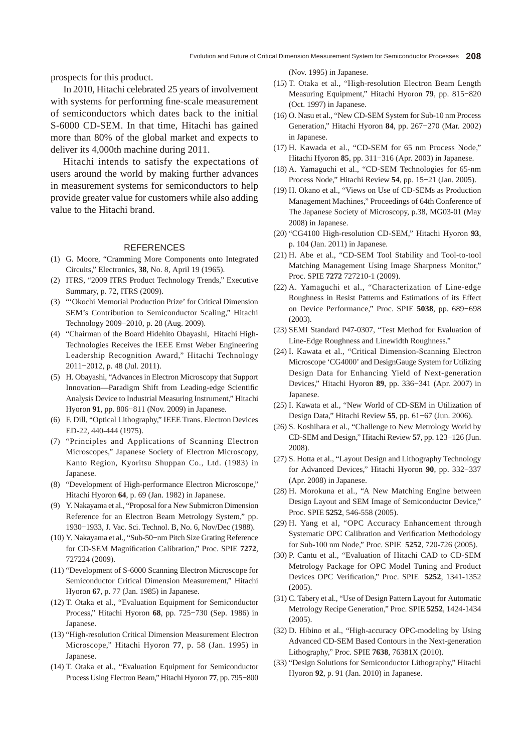prospects for this product.

In 2010, Hitachi celebrated 25 years of involvement with systems for performing fine-scale measurement of semiconductors which dates back to the initial S-6000 CD-SEM. In that time, Hitachi has gained more than 80% of the global market and expects to deliver its 4,000th machine during 2011.

Hitachi intends to satisfy the expectations of users around the world by making further advances in measurement systems for semiconductors to help provide greater value for customers while also adding value to the Hitachi brand.

#### REFERENCES

- (1) G. Moore, "Cramming More Components onto Integrated Circuits," Electronics, **38**, No. 8, April 19 (1965).
- (2) ITRS, "2009 ITRS Product Technology Trends," Executive Summary, p. 72, ITRS (2009).
- (3) "'Okochi Memorial Production Prize' for Critical Dimension SEM's Contribution to Semiconductor Scaling," Hitachi Technology 2009−2010, p. 28 (Aug. 2009).
- (4) "Chairman of the Board Hidehito Obayashi, Hitachi High-Technologies Receives the IEEE Ernst Weber Engineering Leadership Recognition Award," Hitachi Technology 2011−2012, p. 48 (Jul. 2011).
- (5) H. Obayashi, "Advances in Electron Microscopy that Support Innovation—Paradigm Shift from Leading-edge Scientific Analysis Device to Industrial Measuring Instrument," Hitachi Hyoron **91**, pp. 806−811 (Nov. 2009) in Japanese.
- (6) F. Dill, "Optical Lithography," IEEE Trans. Electron Devices ED-22, 440-444 (1975).
- (7) "Principles and Applications of Scanning Electron Microscopes," Japanese Society of Electron Microscopy, Kanto Region, Kyoritsu Shuppan Co., Ltd. (1983) in Japanese.
- (8) "Development of High-performance Electron Microscope," Hitachi Hyoron **64**, p. 69 (Jan. 1982) in Japanese.
- (9) Y. Nakayama et al., "Proposal for a New Submicron Dimension Reference for an Electron Beam Metrology System," pp. 1930−1933, J. Vac. Sci. Technol. B, No. 6, Nov/Dec (1988).
- (10) Y. Nakayama et al., "Sub-50−nm Pitch Size Grating Reference for CD-SEM Magnification Calibration," Proc. SPIE **7272**, 727224 (2009).
- (11) "Development of S-6000 Scanning Electron Microscope for Semiconductor Critical Dimension Measurement," Hitachi Hyoron **67**, p. 77 (Jan. 1985) in Japanese.
- (12) T. Otaka et al., "Evaluation Equipment for Semiconductor Process," Hitachi Hyoron **68**, pp. 725−730 (Sep. 1986) in Japanese.
- (13) "High-resolution Critical Dimension Measurement Electron Microscope," Hitachi Hyoron **77**, p. 58 (Jan. 1995) in Japanese.
- (14) T. Otaka et al., "Evaluation Equipment for Semiconductor Process Using Electron Beam," Hitachi Hyoron **77**, pp. 795−800

(Nov. 1995) in Japanese.

- (15) T. Otaka et al., "High-resolution Electron Beam Length Measuring Equipment," Hitachi Hyoron **79**, pp. 815−820 (Oct. 1997) in Japanese.
- (16) O. Nasu et al., "New CD-SEM System for Sub-10 nm Process Generation," Hitachi Hyoron **84**, pp. 267−270 (Mar. 2002) in Japanese.
- (17) H. Kawada et al., "CD-SEM for 65 nm Process Node," Hitachi Hyoron **85**, pp. 311−316 (Apr. 2003) in Japanese.
- (18) A. Yamaguchi et al., "CD-SEM Technologies for 65-nm Process Node," Hitachi Review **54**, pp. 15−21 (Jan. 2005).
- (19) H. Okano et al., "Views on Use of CD-SEMs as Production Management Machines," Proceedings of 64th Conference of The Japanese Society of Microscopy, p.38, MG03-01 (May 2008) in Japanese.
- (20) "CG4100 High-resolution CD-SEM," Hitachi Hyoron **93**, p. 104 (Jan. 2011) in Japanese.
- (21) H. Abe et al., "CD-SEM Tool Stability and Tool-to-tool Matching Management Using Image Sharpness Monitor," Proc. SPIE **7272** 727210-1 (2009).
- (22) A. Yamaguchi et al., "Characterization of Line-edge Roughness in Resist Patterns and Estimations of its Effect on Device Performance," Proc. SPIE **5038**, pp. 689−698 (2003).
- (23) SEMI Standard P47-0307, "Test Method for Evaluation of Line-Edge Roughness and Linewidth Roughness."
- (24) I. Kawata et al., "Critical Dimension-Scanning Electron Microscope 'CG4000' and DesignGauge System for Utilizing Design Data for Enhancing Yield of Next-generation Devices," Hitachi Hyoron **89**, pp. 336−341 (Apr. 2007) in Japanese.
- (25) I. Kawata et al., "New World of CD-SEM in Utilization of Design Data," Hitachi Review **55**, pp. 61−67 (Jun. 2006).
- (26) S. Koshihara et al., "Challenge to New Metrology World by CD-SEM and Design," Hitachi Review **57**, pp. 123−126 (Jun. 2008).
- (27) S. Hotta et al., "Layout Design and Lithography Technology for Advanced Devices," Hitachi Hyoron **90**, pp. 332−337 (Apr. 2008) in Japanese.
- (28) H. Morokuna et al., "A New Matching Engine between Design Layout and SEM Image of Semiconductor Device," Proc. SPIE **5252**, 546-558 (2005).
- (29) H. Yang et al, "OPC Accuracy Enhancement through Systematic OPC Calibration and Verification Methodology for Sub-100 nm Node," Proc. SPIE **5252**, 720-726 (2005).
- (30) P. Cantu et al., "Evaluation of Hitachi CAD to CD-SEM Metrology Package for OPC Model Tuning and Product Devices OPC Verification," Proc. SPIE **5252**, 1341-1352 (2005).
- (31) C. Tabery et al., "Use of Design Pattern Layout for Automatic Metrology Recipe Generation," Proc. SPIE **5252**, 1424-1434 (2005).
- (32) D. Hibino et al., "High-accuracy OPC-modeling by Using Advanced CD-SEM Based Contours in the Next-generation Lithography," Proc. SPIE **7638**, 76381X (2010).
- (33) "Design Solutions for Semiconductor Lithography," Hitachi Hyoron **92**, p. 91 (Jan. 2010) in Japanese.